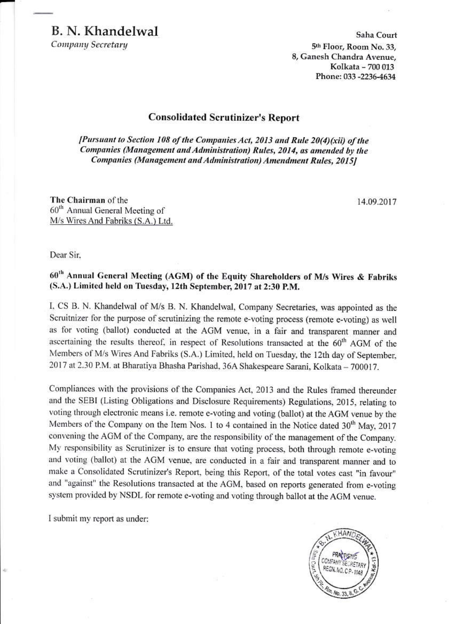Company Secretary

Saha Court 5th Floor, Room No. 33. 8, Ganesh Chandra Avenue, Kolkata - 700 013 Phone: 033 -2236-4634

#### **Consolidated Scrutinizer's Report**

[Pursuant to Section 108 of the Companies Act, 2013 and Rule 20(4)(xii) of the Companies (Management and Administration) Rules, 2014, as amended by the Companies (Management and Administration) Amendment Rules, 2015]

The Chairman of the 60<sup>th</sup> Annual General Meeting of M/s Wires And Fabriks (S.A.) Ltd.

14.09.2017

Dear Sir.

60<sup>th</sup> Annual General Meeting (AGM) of the Equity Shareholders of M/s Wires & Fabriks (S.A.) Limited held on Tuesday, 12th September, 2017 at 2:30 P.M.

I, CS B. N. Khandelwal of M/s B. N. Khandelwal, Company Secretaries, was appointed as the Scruitnizer for the purpose of scrutinizing the remote e-voting process (remote e-voting) as well as for voting (ballot) conducted at the AGM venue, in a fair and transparent manner and ascertaining the results thereof, in respect of Resolutions transacted at the 60<sup>th</sup> AGM of the Members of M/s Wires And Fabriks (S.A.) Limited, held on Tuesday, the 12th day of September, 2017 at 2.30 P.M. at Bharatiya Bhasha Parishad, 36A Shakespeare Sarani, Kolkata - 700017.

Compliances with the provisions of the Companies Act, 2013 and the Rules framed thereunder and the SEBI (Listing Obligations and Disclosure Requirements) Regulations, 2015, relating to voting through electronic means i.e. remote e-voting and voting (ballot) at the AGM venue by the Members of the Company on the Item Nos. 1 to 4 contained in the Notice dated 30<sup>th</sup> May, 2017 convening the AGM of the Company, are the responsibility of the management of the Company. My responsibility as Scrutinizer is to ensure that voting process, both through remote e-voting and voting (ballot) at the AGM venue, are conducted in a fair and transparent manner and to make a Consolidated Scrutinizer's Report, being this Report, of the total votes cast "in favour" and "against" the Resolutions transacted at the AGM, based on reports generated from e-voting system provided by NSDL for remote e-voting and voting through ballot at the AGM venue.

I submit my report as under:

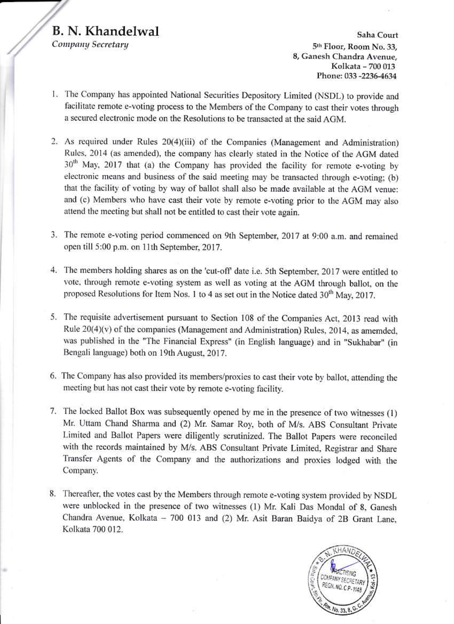Company Secretary

Saha Court 5th Floor, Room No. 33, 8, Ganesh Chandra Avenue, Kolkata - 700 013 Phone: 033 -2236-4634

- 1. The Company has appointed National Securities Depository Limited (NSDL) to provide and facilitate remote e-voting process to the Members of the Company to cast their votes through a secured electronic mode on the Resolutions to be transacted at the said AGM.
- 2. As required under Rules 20(4)(iii) of the Companies (Management and Administration) Rules, 2014 (as amended), the company has clearly stated in the Notice of the AGM dated 30<sup>th</sup> May, 2017 that (a) the Company has provided the facility for remote e-voting by electronic means and business of the said meeting may be transacted through e-voting; (b) that the facility of voting by way of ballot shall also be made available at the AGM venue: and (c) Members who have cast their vote by remote e-voting prior to the AGM may also attend the meeting but shall not be entitled to cast their vote again.
- 3. The remote e-voting period commenced on 9th September, 2017 at 9:00 a.m. and remained open till 5:00 p.m. on 11th September, 2017.
- 4. The members holding shares as on the 'cut-off' date i.e. 5th September, 2017 were entitled to vote, through remote e-voting system as well as voting at the AGM through ballot, on the proposed Resolutions for Item Nos. 1 to 4 as set out in the Notice dated 30<sup>th</sup> May, 2017.
- 5. The requisite advertisement pursuant to Section 108 of the Companies Act, 2013 read with Rule 20(4)(v) of the companies (Management and Administration) Rules, 2014, as amemded, was published in the "The Financial Express" (in English language) and in "Sukhabar" (in Bengali language) both on 19th August, 2017.
- 6. The Company has also provided its members/proxies to cast their vote by ballot, attending the meeting but has not cast their vote by remote e-voting facility.
- 7. The locked Ballot Box was subsequently opened by me in the presence of two witnesses (1) Mr. Uttam Chand Sharma and (2) Mr. Samar Roy, both of M/s. ABS Consultant Private Limited and Ballot Papers were diligently scrutinized. The Ballot Papers were reconciled with the records maintained by M/s. ABS Consultant Private Limited, Registrar and Share Transfer Agents of the Company and the authorizations and proxies lodged with the Company.
- 8. Thereafter, the votes cast by the Members through remote e-voting system provided by NSDL were unblocked in the presence of two witnesses (1) Mr. Kali Das Mondal of 8, Ganesh Chandra Avenue, Kolkata - 700 013 and (2) Mr. Asit Baran Baidya of 2B Grant Lane, Kolkata 700 012.

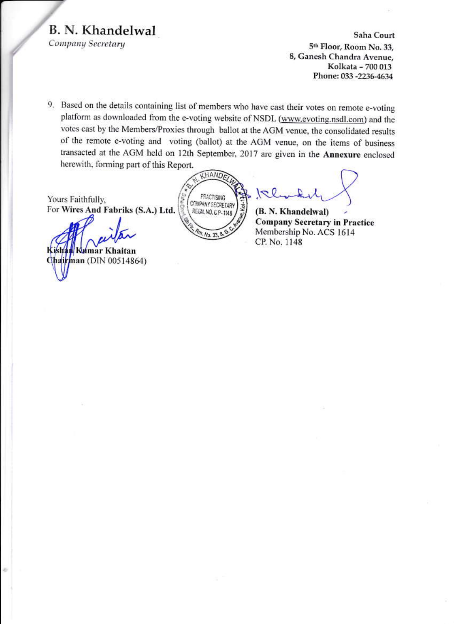Company Secretary

Saha Court 5th Floor, Room No. 33, 8, Ganesh Chandra Avenue, Kolkata - 700 013 Phone: 033 -2236-4634

9. Based on the details containing list of members who have cast their votes on remote e-voting platform as downloaded from the e-voting website of NSDL (www.evoting.nsdl.com) and the votes cast by the Members/Proxies through ballot at the AGM venue, the consolidated results of the remote e-voting and voting (ballot) at the AGM venue, on the items of business transacted at the AGM held on 12th September, 2017 are given in the Annexure enclosed herewith, forming part of this Report.

Yours Faithfully. For Wires And Fabriks (S.A.) Ltd.

Kumar Khaitan Chairman (DIN 00514864)

KHANDA **PRACTISING COMPANY SECRETARY** ġ REGN, NO. C P-1148  $4.$  No. 33.  $6$ 

 $|z|$ 

(B. N. Khandelwal) **Company Secretary in Practice** Membership No. ACS 1614 CP. No. 1148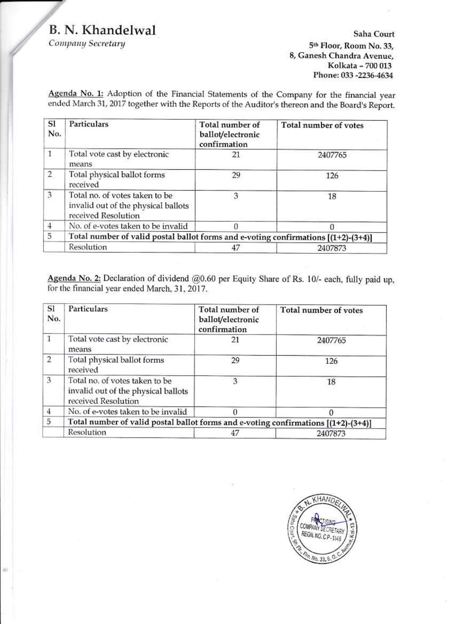Company Secretary

### Saha Court 5th Floor, Room No. 33, 8, Ganesh Chandra Avenue, Kolkata - 700 013 Phone: 033 -2236-4634

Agenda No. 1: Adoption of the Financial Statements of the Company for the financial year ended March 31, 2017 together with the Reports of the Auditor's thereon and the Board's Report.

| <sub>S1</sub><br>No.      | <b>Particulars</b>                                                                           | Total number of<br>ballot/electronic<br>confirmation | Total number of votes |  |
|---------------------------|----------------------------------------------------------------------------------------------|------------------------------------------------------|-----------------------|--|
| 1                         | Total vote cast by electronic<br>means                                                       | 21                                                   | 2407765               |  |
| $\overline{2}$            | Total physical ballot forms<br>received                                                      | 29                                                   | 126                   |  |
| $\ensuremath{\mathsf{3}}$ | Total no. of votes taken to be<br>invalid out of the physical ballots<br>received Resolution | 3                                                    | 18                    |  |
| $\overline{4}$            | No. of e-votes taken to be invalid                                                           |                                                      |                       |  |
| 5                         | Total number of valid postal ballot forms and e-voting confirmations $[(1+2)-(3+4)]$         |                                                      |                       |  |
|                           | Resolution                                                                                   |                                                      | 2407873               |  |

Agenda No. 2: Declaration of dividend @0.60 per Equity Share of Rs. 10/- each, fully paid up, for the financial year ended March, 31, 2017.

| SI<br>No.      | Particulars                                                                                  | Total number of<br>ballot/electronic<br>confirmation | Total number of votes |  |  |
|----------------|----------------------------------------------------------------------------------------------|------------------------------------------------------|-----------------------|--|--|
| 1              | Total vote cast by electronic<br>means                                                       | 21                                                   | 2407765               |  |  |
| $\overline{2}$ | Total physical ballot forms<br>received                                                      | 29                                                   | 126                   |  |  |
| $\overline{3}$ | Total no. of votes taken to be<br>invalid out of the physical ballots<br>received Resolution | 3                                                    | 18                    |  |  |
| $\overline{4}$ | No. of e-votes taken to be invalid                                                           |                                                      |                       |  |  |
| $\overline{5}$ | Total number of valid postal ballot forms and e-voting confirmations [(1+2)-(3+4)]           |                                                      |                       |  |  |
|                | Resolution                                                                                   | 47                                                   | 2407873               |  |  |

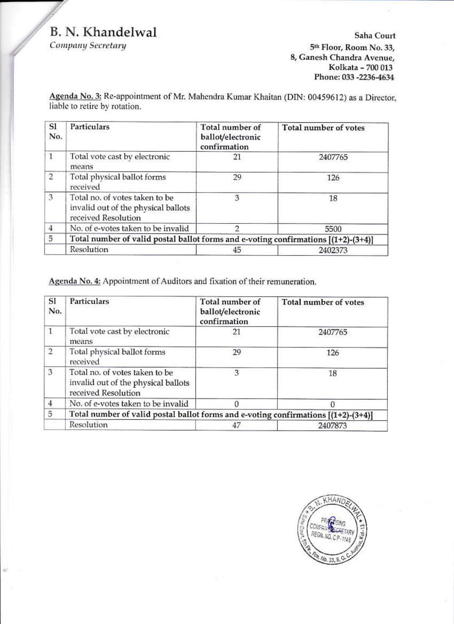Company Secretary

4ì.

Saha Court 5<sup>th</sup> Floor, Room No. 33, 8, Ganesh Chandra Avenue, Kolkata - 700 013 Phone: 033 -2236-4634

Agenda No. 3: Re-appointment of Mr. Mahendra Kumar Khaitan (DIN: 00459612) as a Director, liable to retire by rotation.

| SI<br>No.      | Particulars                                                                                  | Total number of<br>ballot/electronic<br>confirmation | Total number of votes |  |  |
|----------------|----------------------------------------------------------------------------------------------|------------------------------------------------------|-----------------------|--|--|
| $\mathbf{1}$   | Total vote cast by electronic<br>means                                                       | 21                                                   | 2407765               |  |  |
| $\overline{2}$ | Total physical ballot forms<br>received                                                      | 29                                                   | 126                   |  |  |
| 3              | Total no. of votes taken to be<br>invalid out of the physical ballots<br>received Resolution | з                                                    | 18                    |  |  |
| $\overline{4}$ | No. of e-votes taken to be invalid                                                           |                                                      | 5500                  |  |  |
| 5              | Total number of valid postal ballot forms and e-voting confirmations $[(1+2)-(3+4)]$         |                                                      |                       |  |  |
|                | Resolution                                                                                   | 45                                                   | 2402373               |  |  |

Agenda No. 4: Appointment of Auditors and fixation of their remuneration.

| SI<br>No.      | <b>Particulars</b>                                                                           | Total number of<br>ballot/electronic<br>confirmation | Total number of votes |  |  |
|----------------|----------------------------------------------------------------------------------------------|------------------------------------------------------|-----------------------|--|--|
| $\mathbf{1}$   | Total vote cast by electronic<br>means                                                       | 21                                                   | 2407765               |  |  |
| $\overline{2}$ | Total physical ballot forms<br>received                                                      | 29                                                   | 126                   |  |  |
| 3              | Total no. of votes taken to be<br>invalid out of the physical ballots<br>received Resolution | 3                                                    | 18                    |  |  |
| $\overline{4}$ | No. of e-votes taken to be invalid                                                           | 0                                                    |                       |  |  |
| 5              | Total number of valid postal ballot forms and e-voting confirmations $[(1+2)-(3+4)]$         |                                                      |                       |  |  |
|                | Resolution                                                                                   | 47                                                   | 2407873               |  |  |

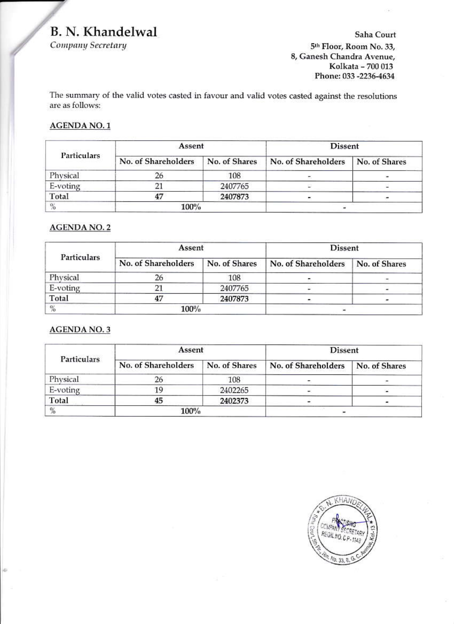Company Secretary

Saha Court 5<sup>th</sup> Floor, Room No. 33, 8, Ganesh Chandra Avenue, Kolkata - 700 013 Phone: 033 -2236-4634

The summary of the valid votes casted in favour and valid votes casted against the resolutions are as follows:

#### **AGENDA NO.1**

|               | Assent              |               | <b>Dissent</b>      |               |
|---------------|---------------------|---------------|---------------------|---------------|
| Particulars   | No. of Shareholders | No. of Shares | No. of Shareholders | No. of Shares |
| Physical      | 26                  | 108           |                     |               |
| E-voting      | 21                  | 2407765       |                     |               |
| Total         | 47                  | 2407873       |                     |               |
| $\frac{9}{6}$ | 100%                |               |                     |               |

## **AGENDA NO. 2**

|             | Assent              |               | <b>Dissent</b>      |               |
|-------------|---------------------|---------------|---------------------|---------------|
| Particulars | No. of Shareholders | No. of Shares | No. of Shareholders | No. of Shares |
| Physical    |                     | 108           |                     |               |
| E-voting    |                     | 2407765       |                     |               |
| Total       | 47                  | 2407873       |                     |               |
| $\%$        | 100%                |               |                     |               |

### **AGENDA NO.3**

|             | Assent              |               | <b>Dissent</b>      |               |
|-------------|---------------------|---------------|---------------------|---------------|
| Particulars | No. of Shareholders | No. of Shares | No. of Shareholders | No. of Shares |
| Physical    | 26                  | 108           |                     |               |
| E-voting    | 19                  | 2402265       |                     |               |
| Total       | 45                  | 2402373       |                     |               |
| %           | 100%                |               |                     |               |